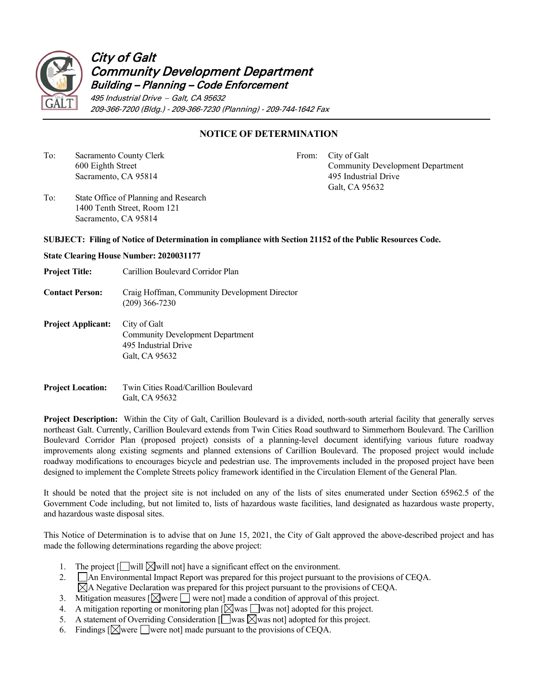

## City of Galt Community Development Department Building – Planning – Code Enforcement

495 Industrial Drive − Galt, CA 95632 209-366-7200 (Bldg.) - 209-366-7230 (Planning) - 209-744-1642 Fax

## **NOTICE OF DETERMINATION**

To: Sacramento County Clerk From: City of Galt

600 Eighth Street Community Development Department Sacramento, CA 95814 and 1995 and 1995 Industrial Drive Galt, CA 95632

To: State Office of Planning and Research 1400 Tenth Street, Room 121 Sacramento, CA 95814

## **SUBJECT: Filing of Notice of Determination in compliance with Section 21152 of the Public Resources Code.**

- **State Clearing House Number: 2020031177**
- **Project Title:** Carillion Boulevard Corridor Plan
- **Contact Person:** Craig Hoffman, Community Development Director (209) 366-7230
- **Project Applicant:** City of Galt Community Development Department 495 Industrial Drive Galt, CA 95632
- **Project Location:** Twin Cities Road/Carillion Boulevard Galt, CA 95632

**Project Description:** Within the City of Galt, Carillion Boulevard is a divided, north-south arterial facility that generally serves northeast Galt. Currently, Carillion Boulevard extends from Twin Cities Road southward to Simmerhorn Boulevard. The Carillion Boulevard Corridor Plan (proposed project) consists of a planning-level document identifying various future roadway improvements along existing segments and planned extensions of Carillion Boulevard. The proposed project would include roadway modifications to encourages bicycle and pedestrian use. The improvements included in the proposed project have been designed to implement the Complete Streets policy framework identified in the Circulation Element of the General Plan.

It should be noted that the project site is not included on any of the lists of sites enumerated under Section 65962.5 of the Government Code including, but not limited to, lists of hazardous waste facilities, land designated as hazardous waste property, and hazardous waste disposal sites.

This Notice of Determination is to advise that on June 15, 2021, the City of Galt approved the above-described project and has made the following determinations regarding the above project:

- 1. The project  $\lceil \bigcap \text{will } \bigsetminus \text{will not} \rceil$  have a significant effect on the environment.
- 2. **An Environmental Impact Report was prepared for this project pursuant to the provisions of CEQA.**  $\boxtimes$ A Negative Declaration was prepared for this project pursuant to the provisions of CEQA.
- 3. Mitigation measures  $\lceil \bigvee$  were  $\lceil \bigvee \rceil$  were not] made a condition of approval of this project.
- 4. A mitigation reporting or monitoring plan  $[\boxtimes$  was  $\Box$  was not] adopted for this project.
- 5. A statement of Overriding Consideration  $\lceil \bigcap$  was  $\lceil \bigcap$  was not] adopted for this project.
- 6. Findings  $\left[\bigtimes\right]$  were not made pursuant to the provisions of CEQA.